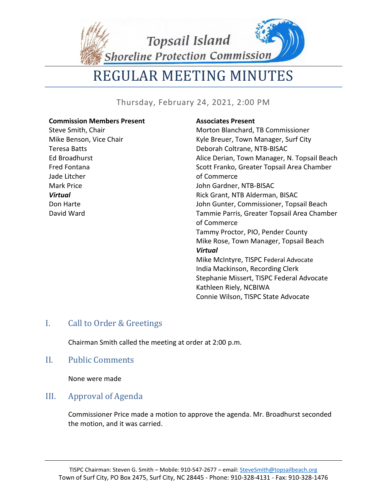**Topsail Island** 

Shoreline Protection Commission

# REGULAR MEETING MINUTES

Thursday, February 24, 2021, 2:00 PM

#### **Commission Members Present** Steve Smith, Chair Mike Benson, Vice Chair Teresa Batts Ed Broadhurst Fred Fontana Jade Litcher Mark Price *Virtual* Don Harte David Ward **Associates Present** Morton Blanchard, TB Commissioner Kyle Breuer, Town Manager, Surf City Deborah Coltrane, NTB-BISAC Alice Derian, Town Manager, N. Topsail Beach Scott Franko, Greater Topsail Area Chamber of Commerce John Gardner, NTB-BISAC Rick Grant, NTB Alderman, BISAC John Gunter, Commissioner, Topsail Beach Tammie Parris, Greater Topsail Area Chamber of Commerce Tammy Proctor, PIO, Pender County Mike Rose, Town Manager, Topsail Beach *Virtual* Mike McIntyre, TISPC Federal Advocate India Mackinson, Recording Clerk Stephanie Missert, TISPC Federal Advocate Kathleen Riely, NCBIWA Connie Wilson, TISPC State Advocate

# I. Call to Order & Greetings

Chairman Smith called the meeting at order at 2:00 p.m.

# II. Public Comments

None were made

# III. Approval of Agenda

Commissioner Price made a motion to approve the agenda. Mr. Broadhurst seconded the motion, and it was carried.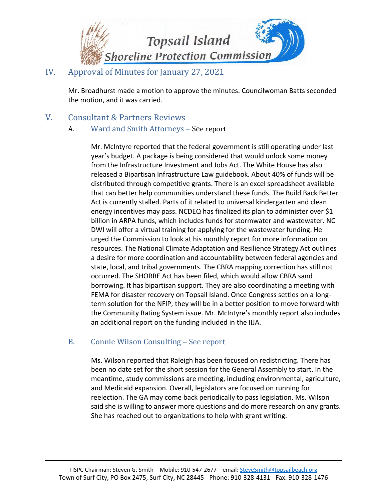

# IV. Approval of Minutes for January 27, 2021

Mr. Broadhurst made a motion to approve the minutes. Councilwoman Batts seconded the motion, and it was carried.

V. Consultant & Partners Reviews

# A. Ward and Smith Attorneys – See report

Mr. McIntyre reported that the federal government is still operating under last year's budget. A package is being considered that would unlock some money from the Infrastructure Investment and Jobs Act. The White House has also released a Bipartisan Infrastructure Law guidebook. About 40% of funds will be distributed through competitive grants. There is an excel spreadsheet available that can better help communities understand these funds. The Build Back Better Act is currently stalled. Parts of it related to universal kindergarten and clean energy incentives may pass. NCDEQ has finalized its plan to administer over \$1 billion in ARPA funds, which includes funds for stormwater and wastewater. NC DWI will offer a virtual training for applying for the wastewater funding. He urged the Commission to look at his monthly report for more information on resources. The National Climate Adaptation and Resilience Strategy Act outlines a desire for more coordination and accountability between federal agencies and state, local, and tribal governments. The CBRA mapping correction has still not occurred. The SHORRE Act has been filed, which would allow CBRA sand borrowing. It has bipartisan support. They are also coordinating a meeting with FEMA for disaster recovery on Topsail Island. Once Congress settles on a longterm solution for the NFIP, they will be in a better position to move forward with the Community Rating System issue. Mr. McIntyre's monthly report also includes an additional report on the funding included in the IIJA.

# B. Connie Wilson Consulting – See report

Ms. Wilson reported that Raleigh has been focused on redistricting. There has been no date set for the short session for the General Assembly to start. In the meantime, study commissions are meeting, including environmental, agriculture, and Medicaid expansion. Overall, legislators are focused on running for reelection. The GA may come back periodically to pass legislation. Ms. Wilson said she is willing to answer more questions and do more research on any grants. She has reached out to organizations to help with grant writing.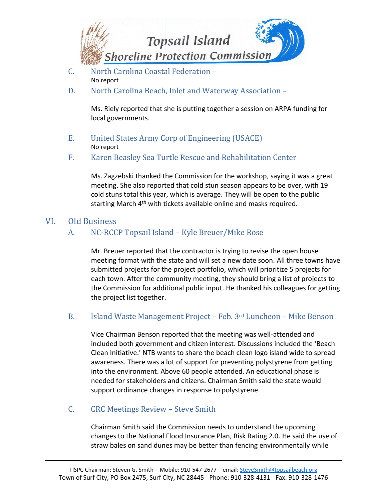

- C. North Carolina Coastal Federation No report
- D. North Carolina Beach, Inlet and Waterway Association –

Ms. Riely reported that she is putting together a session on ARPA funding for local governments.

E. United States Army Corp of Engineering (USACE) No report

#### F. Karen Beasley Sea Turtle Rescue and Rehabilitation Center

Ms. Zagzebski thanked the Commission for the workshop, saying it was a great meeting. She also reported that cold stun season appears to be over, with 19 cold stuns total this year, which is average. They will be open to the public starting March 4<sup>th</sup> with tickets available online and masks required.

# VI. Old Business

# A. NC-RCCP Topsail Island – Kyle Breuer/Mike Rose

Mr. Breuer reported that the contractor is trying to revise the open house meeting format with the state and will set a new date soon. All three towns have submitted projects for the project portfolio, which will prioritize 5 projects for each town. After the community meeting, they should bring a list of projects to the Commission for additional public input. He thanked his colleagues for getting the project list together.

# B. Island Waste Management Project – Feb. 3rd Luncheon – Mike Benson

Vice Chairman Benson reported that the meeting was well-attended and included both government and citizen interest. Discussions included the 'Beach Clean Initiative.' NTB wants to share the beach clean logo island wide to spread awareness. There was a lot of support for preventing polystyrene from getting into the environment. Above 60 people attended. An educational phase is needed for stakeholders and citizens. Chairman Smith said the state would support ordinance changes in response to polystyrene.

#### C. CRC Meetings Review – Steve Smith

Chairman Smith said the Commission needs to understand the upcoming changes to the National Flood Insurance Plan, Risk Rating 2.0. He said the use of straw bales on sand dunes may be better than fencing environmentally while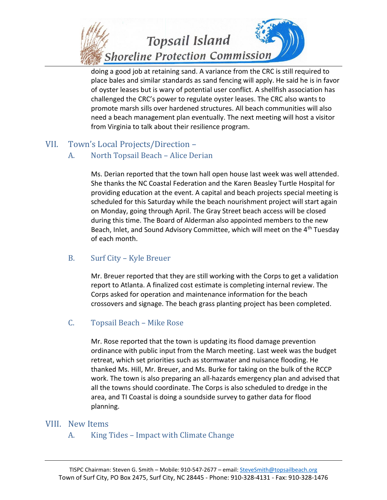

doing a good job at retaining sand. A variance from the CRC is still required to place bales and similar standards as sand fencing will apply. He said he is in favor of oyster leases but is wary of potential user conflict. A shellfish association has challenged the CRC's power to regulate oyster leases. The CRC also wants to promote marsh sills over hardened structures. All beach communities will also need a beach management plan eventually. The next meeting will host a visitor from Virginia to talk about their resilience program.

# VII. Town's Local Projects/Direction –

#### A. North Topsail Beach – Alice Derian

Ms. Derian reported that the town hall open house last week was well attended. She thanks the NC Coastal Federation and the Karen Beasley Turtle Hospital for providing education at the event. A capital and beach projects special meeting is scheduled for this Saturday while the beach nourishment project will start again on Monday, going through April. The Gray Street beach access will be closed during this time. The Board of Alderman also appointed members to the new Beach, Inlet, and Sound Advisory Committee, which will meet on the 4<sup>th</sup> Tuesday of each month.

#### B. Surf City – Kyle Breuer

Mr. Breuer reported that they are still working with the Corps to get a validation report to Atlanta. A finalized cost estimate is completing internal review. The Corps asked for operation and maintenance information for the beach crossovers and signage. The beach grass planting project has been completed.

#### C. Topsail Beach – Mike Rose

Mr. Rose reported that the town is updating its flood damage prevention ordinance with public input from the March meeting. Last week was the budget retreat, which set priorities such as stormwater and nuisance flooding. He thanked Ms. Hill, Mr. Breuer, and Ms. Burke for taking on the bulk of the RCCP work. The town is also preparing an all-hazards emergency plan and advised that all the towns should coordinate. The Corps is also scheduled to dredge in the area, and TI Coastal is doing a soundside survey to gather data for flood planning.

#### VIII. New Items

A. King Tides – Impact with Climate Change